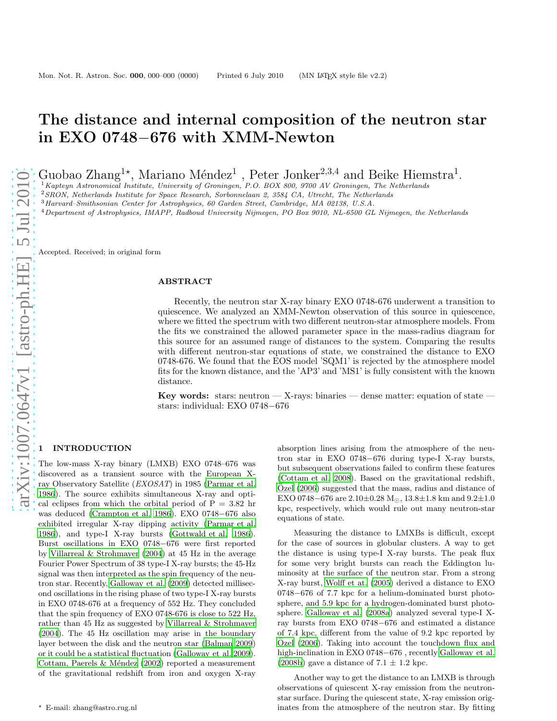# The distance and internal composition of the neutron star in EXO 0748−676 with XMM-Newton

Guobao Zhang<sup>1\*</sup>, Mariano Méndez<sup>1</sup>, Peter Jonker<sup>2,3,4</sup> and Beike Hiemstra<sup>1</sup>.

 $1$ Kapteyn Astronomical Institute, University of Groningen, P.O. BOX 800, 9700 AV Groningen, The Netherlands

<sup>2</sup>SRON, Netherlands Institute for Space Research, Sorbonnelaan 2, 3584 CA, Utrecht, The Netherlands

<sup>3</sup>Harvard–Smithsonian Center for Astrophysics, 60 Garden Street, Cambridge, MA 02138, U.S.A.

<sup>4</sup>Department of Astrophysics, IMAPP, Radboud University Nijmegen, PO Box 9010, NL-6500 GL Nijmegen, the Netherlands

Accepted. Received; in original form

#### ABSTRACT

Recently, the neutron star X-ray binary EXO 0748-676 underwent a transition to quiescence. We analyzed an XMM-Newton observation of this source in quiescence, where we fitted the spectrum with two different neutron-star atmosphere models. From the fits we constrained the allowed parameter space in the mass-radius diagram for this source for an assumed range of distances to the system. Comparing the results with different neutron-star equations of state, we constrained the distance to EXO 0748-676. We found that the EOS model 'SQM1' is rejected by the atmosphere model fits for the known distance, and the 'AP3' and 'MS1' is fully consistent with the known distance.

Key words: stars: neutron  $-$  X-rays: binaries  $-$  dense matter: equation of state  $$ stars: individual: EXO 0748−676

#### **INTRODUCTION**

The low-mass X-ray binary (LMXB) EXO 0748–676 was discovered as a transient source with the European Xray Observatory Satellite (EXOSAT) in 1985 [\(Parmar et al.](#page-4-0) [1986](#page-4-0)). The source exhibits simultaneous X-ray and optical eclipses from which the orbital period of  $P = 3.82$  hr was deduced [\(Crampton et al. 1986](#page-4-1)). EXO 0748−676 also exhibited irregular X-ray dipping activity [\(Parmar et al.](#page-4-0) [1986](#page-4-0)), and type-I X-ray bursts [\(Gottwald et al. 1986](#page-4-2)). Burst oscillations in EXO 0748−676 were first reported by [Villarreal & Strohmayer \(2004](#page-4-3)) at 45 Hz in the average Fourier Power Spectrum of 38 type-I X-ray bursts; the 45-Hz signal was then interpreted as the spin frequency of the neutron star. Recently, [Galloway et al. \(2009](#page-4-4)) detected millisecond oscillations in the rising phase of two type-I X-ray bursts in EXO 0748-676 at a frequency of 552 Hz. They concluded that the spin frequency of EXO 0748-676 is close to 522 Hz, rather than 45 Hz as suggested by [Villarreal & Strohmayer](#page-4-3) [\(2004](#page-4-3)). The 45 Hz oscillation may arise in the boundary layer between the disk and the neutron star [\(Balman 2009](#page-4-5)) or it could be a statistical fluctuation [\(Galloway et al. 2009](#page-4-4)). Cottam, Paerels & Méndez (2002) reported a measurement of the gravitational redshift from iron and oxygen X-ray

absorption lines arising from the atmosphere of the neutron star in EXO 0748−676 during type-I X-ray bursts, but subsequent observations failed to confirm these features [\(Cottam et al. 2008\)](#page-4-7). Based on the gravitational redshift,  $\text{Ozel}$  (2006) suggested that the mass, radius and distance of EXO 0748−676 are 2.10±0.28 M⊙, 13.8±1.8 km and 9.2±1.0 kpc, respectively, which would rule out many neutron-star equations of state.

Measuring the distance to LMXBs is difficult, except for the case of sources in globular clusters. A way to get the distance is using type-I X-ray bursts. The peak flux for some very bright bursts can reach the Eddington luminosity at the surface of the neutron star. From a strong X-ray burst, [Wolff et at. \(2005](#page-5-0)) derived a distance to EXO 0748−676 of 7.7 kpc for a helium-dominated burst photosphere, and 5.9 kpc for a hydrogen-dominated burst photosphere. [Galloway et al. \(2008a](#page-4-9)) analyzed several type-I Xray bursts from EXO 0748−676 and estimated a distance of 7.4 kpc, different from the value of 9.2 kpc reported by Ozel  $(2006)$ . Taking into account the touchdown flux and high-inclination in EXO 0748−676 , recently [Galloway et al.](#page-4-10) [\(2008b](#page-4-10)) gave a distance of  $7.1 \pm 1.2$  kpc.

Another way to get the distance to an LMXB is through observations of quiescent X-ray emission from the neutronstar surface. During the quiescent state, X-ray emission originates from the atmosphere of the neutron star. By fitting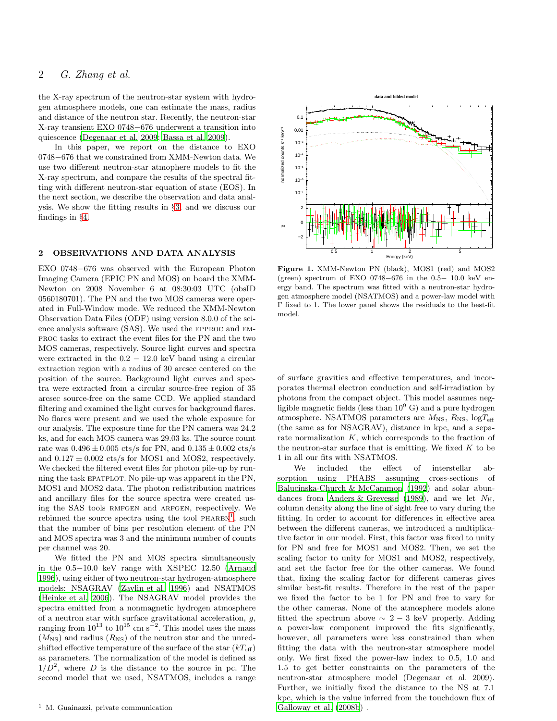the X-ray spectrum of the neutron-star system with hydrogen atmosphere models, one can estimate the mass, radius and distance of the neutron star. Recently, the neutron-star X-ray transient EXO 0748−676 underwent a transition into quiescence [\(Degenaar et al. 2009](#page-4-11); [Bassa et al. 2009](#page-4-12)).

In this paper, we report on the distance to EXO 0748−676 that we constrained from XMM-Newton data. We use two different neutron-star atmophere models to fit the X-ray spectrum, and compare the results of the spectral fitting with different neutron-star equation of state (EOS). In the next section, we describe the observation and data analysis. We show the fitting results in §[3,](#page-2-0) and we discuss our findings in §[4.](#page-4-13)

#### 2 OBSERVATIONS AND DATA ANALYSIS

EXO 0748−676 was observed with the European Photon Imaging Camera (EPIC PN and MOS) on board the XMM-Newton on 2008 November 6 at 08:30:03 UTC (obsID 0560180701). The PN and the two MOS cameras were operated in Full-Window mode. We reduced the XMM-Newton Observation Data Files (ODF) using version 8.0.0 of the science analysis software (SAS). We used the epproc and emproc tasks to extract the event files for the PN and the two MOS cameras, respectively. Source light curves and spectra were extracted in the  $0.2 - 12.0$  keV band using a circular extraction region with a radius of 30 arcsec centered on the position of the source. Background light curves and spectra were extracted from a circular source-free region of 35 arcsec source-free on the same CCD. We applied standard filtering and examined the light curves for background flares. No flares were present and we used the whole exposure for our analysis. The exposure time for the PN camera was 24.2 ks, and for each MOS camera was 29.03 ks. The source count rate was  $0.496 \pm 0.005$  cts/s for PN, and  $0.135 \pm 0.002$  cts/s and  $0.127 \pm 0.002$  cts/s for MOS1 and MOS2, respectively. We checked the filtered event files for photon pile-up by running the task EPATPLOT. No pile-up was apparent in the PN, MOS1 and MOS2 data. The photon redistribution matrices and ancillary files for the source spectra were created using the SAS tools RMFGEN and ARFGEN, respectively. We rebinned the source spectra using the tool  $PHARBN<sup>1</sup>$  $PHARBN<sup>1</sup>$  $PHARBN<sup>1</sup>$ , such that the number of bins per resolution element of the PN and MOS spectra was 3 and the minimum number of counts per channel was 20.

<span id="page-1-0"></span>We fitted the PN and MOS spectra simultaneously in the 0.5−10.0 keV range with XSPEC 12.50 [\(Arnaud](#page-4-14) [1996](#page-4-14)), using either of two neutron-star hydrogen-atmosphere models: NSAGRAV [\(Zavlin et al. 1996\)](#page-5-1) and NSATMOS [\(Heinke et al. 2006\)](#page-4-15). The NSAGRAV model provides the spectra emitted from a nonmagnetic hydrogen atmosphere of a neutron star with surface gravitational acceleration,  $g$ , ranging from  $10^{13}$  to  $10^{15}$  cm s<sup>-2</sup>. This model uses the mass  $(M_{\rm NS})$  and radius  $(R_{\rm NS})$  of the neutron star and the unredshifted effective temperature of the surface of the star  $(kT_{\text{eff}})$ as parameters. The normalization of the model is defined as  $1/D^2$ , where D is the distance to the source in pc. The second model that we used, NSATMOS, includes a range



<span id="page-1-1"></span>Figure 1. XMM-Newton PN (black), MOS1 (red) and MOS2 (green) spectrum of EXO 0748−676 in the 0.5− 10.0 keV energy band. The spectrum was fitted with a neutron-star hydrogen atmosphere model (NSATMOS) and a power-law model with Γ fixed to 1. The lower panel shows the residuals to the best-fit model.

of surface gravities and effective temperatures, and incorporates thermal electron conduction and self-irradiation by photons from the compact object. This model assumes negligible magnetic fields (less than  $10^9$  G) and a pure hydrogen atmosphere. NSATMOS parameters are  $M_{\text{NS}}$ ,  $R_{\text{NS}}$ ,  $logT_{\text{eff}}$ (the same as for NSAGRAV), distance in kpc, and a separate normalization  $K$ , which corresponds to the fraction of the neutron-star surface that is emitting. We fixed  $K$  to be 1 in all our fits with NSATMOS.

We included the effect of interstellar absorption using PHABS assuming cross-sections of [Balucinska-Church & McCammon \(1992](#page-4-16)) and solar abun-dances from [Anders & Grevesse \(1989](#page-4-17)), and we let  $N_{\rm H}$ , column density along the line of sight free to vary during the fitting. In order to account for differences in effective area between the different cameras, we introduced a multiplicative factor in our model. First, this factor was fixed to unity for PN and free for MOS1 and MOS2. Then, we set the scaling factor to unity for MOS1 and MOS2, respectively, and set the factor free for the other cameras. We found that, fixing the scaling factor for different cameras gives similar best-fit results. Therefore in the rest of the paper we fixed the factor to be 1 for PN and free to vary for the other cameras. None of the atmosphere models alone fitted the spectrum above  $\sim 2-3$  keV properly. Adding a power-law component improved the fits significantly, however, all parameters were less constrained than when fitting the data with the neutron-star atmosphere model only. We first fixed the power-law index to 0.5, 1.0 and 1.5 to get better constraints on the parameters of the neutron-star atmosphere model (Degenaar et al. 2009). Further, we initially fixed the distance to the NS at 7.1 kpc, which is the value inferred from the touchdown flux of Galloway et al.  $(2008b)$ .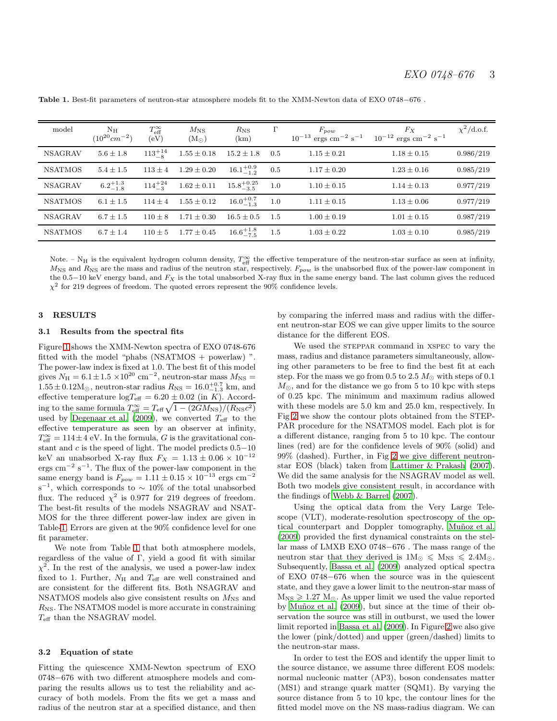| model          | $N_{\rm H}$<br>$(10^{20} cm^{-2})$ | $T_{\rm eff}^{\infty}$<br>(eV) | $M_{\rm NS}$<br>$(M_{\odot})$ | $R_{\rm NS}$<br>(km)  | $\Gamma$ | $F_{pow}$<br>$10^{-13}$ ergs cm <sup>-2</sup> s <sup>-1</sup> | $F_X$<br>$10^{-12}$ ergs cm <sup>-2</sup> s <sup>-1</sup> | $\chi^2$ /d.o.f. |
|----------------|------------------------------------|--------------------------------|-------------------------------|-----------------------|----------|---------------------------------------------------------------|-----------------------------------------------------------|------------------|
| <b>NSAGRAV</b> | $5.6 \pm 1.8$                      | $113^{+14}_{-8}$               | $1.55 \pm 0.18$               | $15.2 \pm 1.8$        | 0.5      | $1.15 \pm 0.21$                                               | $1.18 \pm 0.15$                                           | 0.986/219        |
| <b>NSATMOS</b> | $5.4 \pm 1.5$                      | $113 \pm 4$                    | $1.29 \pm 0.20$               | $16.1^{+0.9}_{-1.2}$  | 0.5      | $1.17 \pm 0.20$                                               | $1.23 \pm 0.16$                                           | 0.985/219        |
| <b>NSAGRAV</b> | $6.2^{+1.3}_{-1.8}$                | $114^{+24}_{-3}$               | $1.62 \pm 0.11$               | $15.8^{+0.25}_{-3.5}$ | 1.0      | $1.10 + 0.15$                                                 | $1.14 \pm 0.13$                                           | 0.977/219        |
| <b>NSATMOS</b> | $6.1 \pm 1.5$                      | $114 \pm 4$                    | $1.55 \pm 0.12$               | $16.0^{+0.7}_{-1.3}$  | 1.0      | $1.11 \pm 0.15$                                               | $1.13 \pm 0.06$                                           | 0.977/219        |
| <b>NSAGRAV</b> | $6.7 \pm 1.5$                      | $110 + 8$                      | $1.71 \pm 0.30$               | $16.5 \pm 0.5$        | $1.5\,$  | $1.00 \pm 0.19$                                               | $1.01 \pm 0.15$                                           | 0.987/219        |
| <b>NSATMOS</b> | $6.7 \pm 1.4$                      | $110 \pm 5$                    | $1.77 \pm 0.45$               | $16.6^{+1.8}_{-7.5}$  | 1.5      | $1.03 \pm 0.22$                                               | $1.03 \pm 0.10$                                           | 0.985/219        |

<span id="page-2-1"></span>Table 1. Best-fit parameters of neutron-star atmosphere models fit to the XMM-Newton data of EXO 0748−676 .

Note.  $-N_H$  is the equivalent hydrogen column density,  $T_{\text{eff}}^{\infty}$  the effective temperature of the neutron-star surface as seen at infinity,  $M_{\rm NS}$  and  $R_{\rm NS}$  are the mass and radius of the neutron star, respectively.  $F_{pow}$  is the unabsorbed flux of the power-law component in the 0.5−10 keV energy band, and  $F_X$  is the total unabsorbed X-ray flux in the same energy band. The last column gives the reduced  $\chi^2$  for 219 degrees of freedom. The quoted errors represent the 90% confidence levels.

#### <span id="page-2-0"></span>3 RESULTS

#### 3.1 Results from the spectral fits

Figure [1](#page-1-1) shows the XMM-Newton spectra of EXO 0748-676 fitted with the model "phabs (NSATMOS + powerlaw) ". The power-law index is fixed at 1.0. The best fit of this model gives  $N_{\rm H} = 6.1 \pm 1.5 \times 10^{20}$  cm<sup>-2</sup>, neutron-star mass  $M_{\rm NS} =$  $1.55 \pm 0.12 M_{\odot}$ , neutron-star radius  $R_{\rm NS} = 16.0^{+0.7}_{-1.3}$  km, and effective temperature  $logT_{\text{eff}} = 6.20 \pm 0.02$  (in K). According to the same formula  $T_{\text{eff}}^{\infty} = T_{\text{eff}} \sqrt{1 - (2GM_{\text{NS}})/(R_{\text{NS}}c^2)}$ used by [Degenaar et al. \(2009](#page-4-11)), we converted  $T_{\text{eff}}$  to the effective temperature as seen by an observer at infinity,  $T_{\text{eff}}^{\infty} = 114 \pm 4 \text{ eV}$ . In the formula, G is the gravitational constant and  $c$  is the speed of light. The model predicts  $0.5\!-\!10$ keV an unabsorbed X-ray flux  $F_X = 1.13 \pm 0.06 \times 10^{-12}$ ergs  $\text{cm}^{-2}$  s<sup>-1</sup>. The flux of the power-law component in the same energy band is  $F_{pow} = 1.11 \pm 0.15 \times 10^{-13}$  ergs  $\rm cm^{-2}$ s<sup>-1</sup>, which corresponds to  $\sim 10\%$  of the total unabsorbed flux. The reduced  $\chi^2$  is 0.977 for 219 degrees of freedom. The best-fit results of the models NSAGRAV and NSAT-MOS for the three different power-law index are given in Table[-1.](#page-2-1) Errors are given at the 90% confidence level for one fit parameter.

We note from Table [1](#page-2-1) that both atmosphere models, regardless of the value of Γ, yield a good fit with similar  $\chi^2$ . In the rest of the analysis, we used a power-law index fixed to 1. Further,  $N_{\rm H}$  and  $T_{\rm eff}$  are well constrained and are consistent for the different fits. Both NSAGRAV and NSATMOS models also give consistent results on  $M_{\text{NS}}$  and  $R_{\text{NS}}$ . The NSATMOS model is more accurate in constraining  $T_{\text{eff}}$  than the NSAGRAV model.

#### 3.2 Equation of state

Fitting the quiescence XMM-Newton spectrum of EXO 0748−676 with two different atmosphere models and comparing the results allows us to test the reliability and accuracy of both models. From the fits we get a mass and radius of the neutron star at a specified distance, and then

by comparing the inferred mass and radius with the different neutron-star EOS we can give upper limits to the source distance for the different EOS.

We used the STEPPAR command in XSPEC to vary the mass, radius and distance parameters simultaneously, allowing other parameters to be free to find the best fit at each step. For the mass we go from 0.5 to 2.5  $M_{\odot}$  with steps of 0.1  $M_{\odot}$ , and for the distance we go from 5 to 10 kpc with steps of 0.25 kpc. The minimum and maximum radius allowed with these models are 5.0 km and 25.0 km, respectively. In Fig [2](#page-3-0) we show the contour plots obtained from the STEP-PAR procedure for the NSATMOS model. Each plot is for a different distance, ranging from 5 to 10 kpc. The contour lines (red) are for the confidence levels of 90% (solid) and 99% (dashed). Further, in Fig [2](#page-3-0) we give different neutronstar EOS (black) taken from [Lattimer & Prakash \(2007](#page-4-18)). We did the same analysis for the NSAGRAV model as well. Both two models give consistent result, in accordance with the findings of [Webb & Barret \(2007](#page-4-19)).

Using the optical data from the Very Large Telescope (VLT), moderate-resolution spectroscopy of the optical counterpart and Doppler tomography, Muñoz et al. [\(2009](#page-4-20)) provided the first dynamical constraints on the stellar mass of LMXB EXO 0748−676 . The mass range of the neutron star that they derived is  $1M_{\odot} \le M_{NS} \le 2.4M_{\odot}$ . Subsequently, [Bassa et al. \(2009\)](#page-4-12) analyzed optical spectra of EXO 0748−676 when the source was in the quiescent state, and they gave a lower limit to the neutron-star mass of  $M_{NS} \geqslant 1.27 M_{\odot}$ . As upper limit we used the value reported by Muñoz et al. (2009), but since at the time of their observation the source was still in outburst, we used the lower limit reported in [Bassa et al. \(2009](#page-4-12)). In Figure [2](#page-3-0) we also give the lower (pink/dotted) and upper (green/dashed) limits to the neutron-star mass.

In order to test the EOS and identify the upper limit to the source distance, we assume three different EOS models: normal nucleonic matter (AP3), boson condensates matter (MS1) and strange quark matter (SQM1). By varying the source distance from 5 to 10 kpc, the contour lines for the fitted model move on the NS mass-radius diagram. We can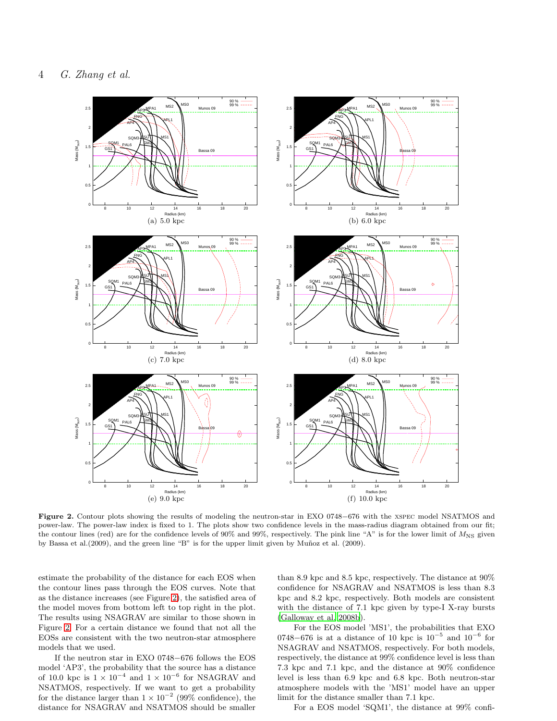

<span id="page-3-0"></span>Figure 2. Contour plots showing the results of modeling the neutron-star in EXO 0748−676 with the xspec model NSATMOS and power-law. The power-law index is fixed to 1. The plots show two confidence levels in the mass-radius diagram obtained from our fit; the contour lines (red) are for the confidence levels of  $90\%$  and  $99\%$ , respectively. The pink line "A" is for the lower limit of  $M_{\rm NS}$  given by Bassa et al.(2009), and the green line "B" is for the upper limit given by Muñoz et al. (2009).

estimate the probability of the distance for each EOS when the contour lines pass through the EOS curves. Note that as the distance increases (see Figure [2\)](#page-3-0), the satisfied area of the model moves from bottom left to top right in the plot. The results using NSAGRAV are similar to those shown in Figure [2.](#page-3-0) For a certain distance we found that not all the EOSs are consistent with the two neutron-star atmosphere models that we used.

If the neutron star in EXO 0748−676 follows the EOS model 'AP3', the probability that the source has a distance of 10.0 kpc is  $1 \times 10^{-4}$  and  $1 \times 10^{-6}$  for NSAGRAV and NSATMOS, respectively. If we want to get a probability for the distance larger than  $1 \times 10^{-2}$  (99% confidence), the distance for NSAGRAV and NSATMOS should be smaller

than 8.9 kpc and 8.5 kpc, respectively. The distance at 90% confidence for NSAGRAV and NSATMOS is less than 8.3 kpc and 8.2 kpc, respectively. Both models are consistent with the distance of 7.1 kpc given by type-I X-ray bursts [\(Galloway et al. 2008b\)](#page-4-10).

For the EOS model 'MS1', the probabilities that EXO 0748–676 is at a distance of 10 kpc is  $10^{-5}$  and  $10^{-6}$  for NSAGRAV and NSATMOS, respectively. For both models, respectively, the distance at 99% confidence level is less than 7.3 kpc and 7.1 kpc, and the distance at 90% confidence level is less than 6.9 kpc and 6.8 kpc. Both neutron-star atmosphere models with the 'MS1' model have an upper limit for the distance smaller than 7.1 kpc.

For a EOS model 'SQM1', the distance at 99% confi-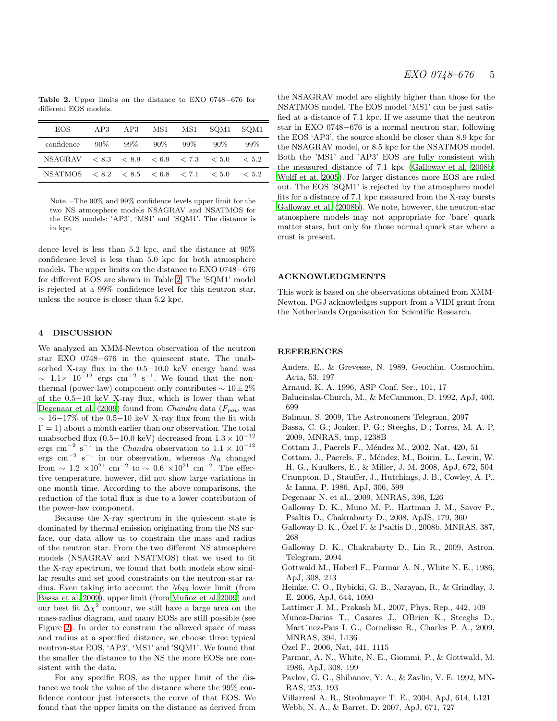<span id="page-4-21"></span>Table 2. Upper limits on the distance to EXO 0748−676 for different EOS models.

| EOS.                                                        | AP3    | AP3 | MS1 —  | MS1    | SQM1   | SOM <sub>1</sub> |
|-------------------------------------------------------------|--------|-----|--------|--------|--------|------------------|
| confidence                                                  | $90\%$ | 99% | $90\%$ | $99\%$ | $90\%$ | $99\%$           |
| $NSAGRAW$ $\lt 8.3$ $\lt 8.9$ $\lt 6.9$ $\lt 7.3$ $\lt 5.0$ |        |     |        |        |        | < 5.2            |
| NSATMOS $< 8.2 < 8.5 < 6.8 < 7.1 < 5.0$                     |        |     |        |        |        | < 5.2            |

Note. –The 90% and 99% confidence levels upper limit for the two NS atmosphere models NSAGRAV and NSATMOS for the EOS models: 'AP3', 'MS1' and 'SQM1'. The distance is in kpc.

dence level is less than 5.2 kpc, and the distance at 90% confidence level is less than 5.0 kpc for both atmosphere models. The upper limits on the distance to EXO 0748−676 for different EOS are shown in Table [2.](#page-4-21) The 'SQM1' model is rejected at a 99% confidence level for this neutron star, unless the source is closer than 5.2 kpc.

#### <span id="page-4-13"></span>4 DISCUSSION

We analyzed an XMM-Newton observation of the neutron star EXO 0748−676 in the quiescent state. The unabsorbed X-ray flux in the 0.5−10.0 keV energy band was  $\sim$  1.1× 10<sup>-12</sup> ergs cm<sup>-2</sup> s<sup>-1</sup>. We found that the nonthermal (power-law) component only contributes  $\sim 10\pm 2\%$ of the 0.5−10 keV X-ray flux, which is lower than what [Degenaar et al. \(2009](#page-4-11)) found from *Chandra* data ( $F_{pow}$  was  $\sim 16-17\%$  of the 0.5–10 keV X-ray flux from the fit with  $\Gamma = 1$ ) about a month earlier than our observation. The total unabsorbed flux (0.5−10.0 keV) decreased from  $1.3 \times 10^{-12}$ ergs cm<sup>-2</sup> s<sup>-1</sup> in the *Chandra* observation to  $1.1 \times 10^{-12}$ ergs cm<sup>-2</sup> s<sup>-1</sup> in our observation, whereas  $N_{\rm H}$  changed from  $\sim 1.2 \times 10^{21}$  cm<sup>-2</sup> to  $\sim 0.6 \times 10^{21}$  cm<sup>-2</sup>. The effective temperature, however, did not show large variations in one month time. According to the above comparisons, the reduction of the total flux is due to a lower contribution of the power-law component.

Because the X-ray spectrum in the quiescent state is dominated by thermal emission originating from the NS surface, our data allow us to constrain the mass and radius of the neutron star. From the two different NS atmosphere models (NSAGRAV and NSATMOS) that we used to fit the X-ray spectrum, we found that both models show similar results and set good constraints on the neutron-star radius. Even taking into account the  $M_{\rm NS}$  lower limit (from [Bassa et al. 2009](#page-4-12)), upper limit (from Muñoz et al. 2009) and our best fit  $\Delta \chi^2$  contour, we still have a large area on the mass-radius diagram, and many EOSs are still possible (see Figure [2\)](#page-3-0). In order to constrain the allowed space of mass and radius at a specified distance, we choose three typical neutron-star EOS, 'AP3', 'MS1' and 'SQM1'. We found that the smaller the distance to the NS the more EOSs are consistent with the data.

For any specific EOS, as the upper limit of the distance we took the value of the distance where the 99% confidence contour just intersects the curve of that EOS. We found that the upper limits on the distance as derived from

### EXO 0748-676 5

the NSAGRAV model are slightly higher than those for the NSATMOS model. The EOS model 'MS1' can be just satisfied at a distance of 7.1 kpc. If we assume that the neutron star in EXO 0748−676 is a normal neutron star, following the EOS 'AP3', the source should be closer than 8.9 kpc for the NSAGRAV model, or 8.5 kpc for the NSATMOS model. Both the 'MS1' and 'AP3' EOS are fully consistent with the measured distance of 7.1 kpc [\(Galloway et al. 2008b;](#page-4-10) [Wolff et at. 2005](#page-5-0)). For larger distances more EOS are ruled out. The EOS 'SQM1' is rejected by the atmosphere model fits for a distance of 7.1 kpc measured from the X-ray bursts [Galloway et al. \(2008b](#page-4-10)). We note, however, the neutron-star atmosphere models may not appropriate for 'bare' quark matter stars, but only for those normal quark star where a crust is present.

#### ACKNOWLEDGMENTS

This work is based on the observations obtained from XMM-Newton. PGJ acknowledges support from a VIDI grant from the Netherlands Organisation for Scientific Research.

#### REFERENCES

- <span id="page-4-17"></span>Anders, E., & Grevesse, N. 1989, Geochim. Cosmochim. Acta, 53, 197
- <span id="page-4-14"></span>Arnaud, K. A. 1996, ASP Conf. Ser., 101, 17
- <span id="page-4-16"></span>Balucinska-Church, M., & McCammon, D. 1992, ApJ, 400, 699
- <span id="page-4-5"></span>Balman, S. 2009, The Astronomers Telegram, 2097
- <span id="page-4-12"></span>Bassa, C. G.; Jonker, P. G.; Steeghs, D.; Torres, M. A. P, 2009, MNRAS, tmp, 1238B
- <span id="page-4-6"></span>Cottam J., Paerels F., Méndez M., 2002, Nat, 420, 51
- <span id="page-4-7"></span>Cottam, J., Paerels, F., Méndez, M., Boirin, L., Lewin, W.
- <span id="page-4-1"></span>H. G., Kuulkers, E., & Miller, J. M. 2008, ApJ, 672, 504 Crampton, D., Stauffer, J., Hutchings, J. B., Cowley, A. P.,
- & Ianna, P. 1986, ApJ, 306, 599
- <span id="page-4-11"></span>Degenaar N. et al., 2009, MNRAS, 396, L26
- <span id="page-4-9"></span>Galloway D. K., Muno M. P., Hartman J. M., Savov P., Psaltis D., Chakrabarty D., 2008, ApJS, 179, 360
- <span id="page-4-10"></span>Galloway D. K.,  $\ddot{\text{O}}$ zel F. & Psaltis D., 2008b, MNRAS, 387, 268
- <span id="page-4-4"></span>Galloway D. K., Chakrabarty D., Lin R., 2009, Astron. Telegram, 2094
- <span id="page-4-2"></span>Gottwald M., Haberl F., Parmar A. N., White N. E., 1986, ApJ, 308, 213
- <span id="page-4-15"></span>Heinke, C. O., Rybicki, G. B., Narayan, R., & Grindlay, J. E. 2006, ApJ, 644, 1090
- <span id="page-4-18"></span>Lattimer J. M., Prakash M., 2007, Phys. Rep., 442, 109
- <span id="page-4-20"></span>Mu˜noz-Darias T., Casares J., OBrien K., Steeghs D., Mart´nez-Pais I. G., Cornelisse R., Charles P. A., 2009, MNRAS, 394, L136
- <span id="page-4-8"></span>Ozel F., 2006, Nat, 441, 1115 ¨
- <span id="page-4-0"></span>Parmar, A. N., White, N. E., Giommi, P., & Gottwald, M. 1986, ApJ, 308, 199
- Pavlov, G. G., Shibanov, Y. A., & Zavlin, V. E. 1992, MN-RAS, 253, 193
- <span id="page-4-3"></span>Villarreal A. R., Strohmayer T. E., 2004, ApJ, 614, L121
- <span id="page-4-19"></span>Webb, N. A., & Barret, D. 2007, ApJ, 671, 727